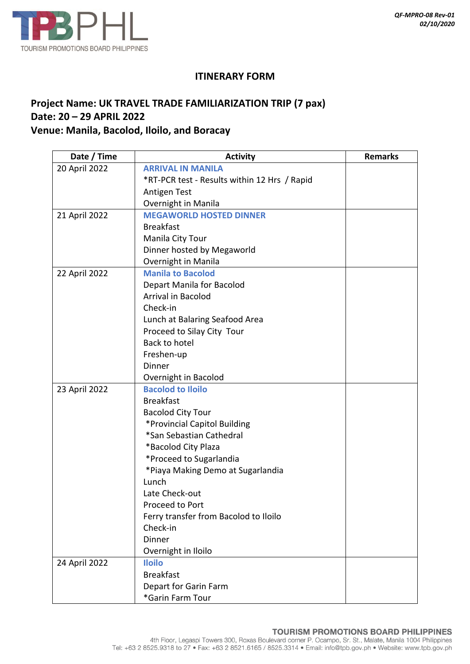

## **ITINERARY FORM**

## **Project Name: UK TRAVEL TRADE FAMILIARIZATION TRIP (7 pax) Date: 20 – 29 APRIL 2022 Venue: Manila, Bacolod, Iloilo, and Boracay**

| Date / Time   | <b>Activity</b>                              | <b>Remarks</b> |
|---------------|----------------------------------------------|----------------|
| 20 April 2022 | <b>ARRIVAL IN MANILA</b>                     |                |
|               | *RT-PCR test - Results within 12 Hrs / Rapid |                |
|               | Antigen Test                                 |                |
|               | Overnight in Manila                          |                |
| 21 April 2022 | <b>MEGAWORLD HOSTED DINNER</b>               |                |
|               | <b>Breakfast</b>                             |                |
|               | Manila City Tour                             |                |
|               | Dinner hosted by Megaworld                   |                |
|               | Overnight in Manila                          |                |
| 22 April 2022 | <b>Manila to Bacolod</b>                     |                |
|               | Depart Manila for Bacolod                    |                |
|               | Arrival in Bacolod                           |                |
|               | Check-in                                     |                |
|               | Lunch at Balaring Seafood Area               |                |
|               | Proceed to Silay City Tour                   |                |
|               | Back to hotel                                |                |
|               | Freshen-up                                   |                |
|               | Dinner                                       |                |
|               | Overnight in Bacolod                         |                |
| 23 April 2022 | <b>Bacolod to Iloilo</b>                     |                |
|               | <b>Breakfast</b>                             |                |
|               | <b>Bacolod City Tour</b>                     |                |
|               | *Provincial Capitol Building                 |                |
|               | *San Sebastian Cathedral                     |                |
|               | *Bacolod City Plaza                          |                |
|               | *Proceed to Sugarlandia                      |                |
|               | *Piaya Making Demo at Sugarlandia            |                |
|               | Lunch                                        |                |
|               | Late Check-out                               |                |
|               | Proceed to Port                              |                |
|               | Ferry transfer from Bacolod to Iloilo        |                |
|               | Check-in                                     |                |
|               | Dinner                                       |                |
|               | Overnight in Iloilo                          |                |
| 24 April 2022 | <b>Iloilo</b>                                |                |
|               | <b>Breakfast</b>                             |                |
|               | Depart for Garin Farm                        |                |
|               | *Garin Farm Tour                             |                |

## TOURISM PROMOTIONS BOARD PHILIPPINES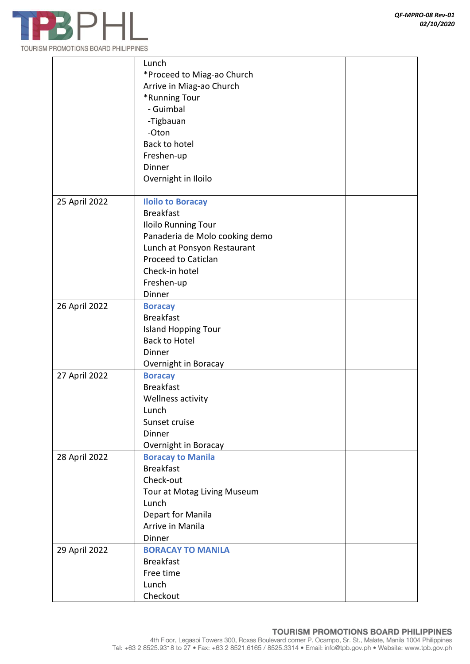

|               | Lunch                          |
|---------------|--------------------------------|
|               | *Proceed to Miag-ao Church     |
|               | Arrive in Miag-ao Church       |
|               | *Running Tour                  |
|               | - Guimbal                      |
|               |                                |
|               | -Tigbauan                      |
|               | -Oton                          |
|               | Back to hotel                  |
|               | Freshen-up                     |
|               | Dinner                         |
|               | Overnight in Iloilo            |
| 25 April 2022 | <b>Iloilo to Boracay</b>       |
|               | <b>Breakfast</b>               |
|               | Iloilo Running Tour            |
|               | Panaderia de Molo cooking demo |
|               | Lunch at Ponsyon Restaurant    |
|               | <b>Proceed to Caticlan</b>     |
|               | Check-in hotel                 |
|               | Freshen-up                     |
|               | Dinner                         |
| 26 April 2022 | <b>Boracay</b>                 |
|               | <b>Breakfast</b>               |
|               | <b>Island Hopping Tour</b>     |
|               | <b>Back to Hotel</b>           |
|               | Dinner                         |
|               |                                |
|               | Overnight in Boracay           |
| 27 April 2022 | <b>Boracay</b>                 |
|               | <b>Breakfast</b>               |
|               | Wellness activity              |
|               | Lunch                          |
|               | Sunset cruise                  |
|               | Dinner                         |
|               | Overnight in Boracay           |
| 28 April 2022 | <b>Boracay to Manila</b>       |
|               | <b>Breakfast</b>               |
|               | Check-out                      |
|               | Tour at Motag Living Museum    |
|               | Lunch                          |
|               | Depart for Manila              |
|               | Arrive in Manila               |
|               | Dinner                         |
| 29 April 2022 | <b>BORACAY TO MANILA</b>       |
|               | <b>Breakfast</b>               |
|               | Free time                      |
|               | Lunch                          |
|               | Checkout                       |
|               |                                |

## TOURISM PROMOTIONS BOARD PHILIPPINES